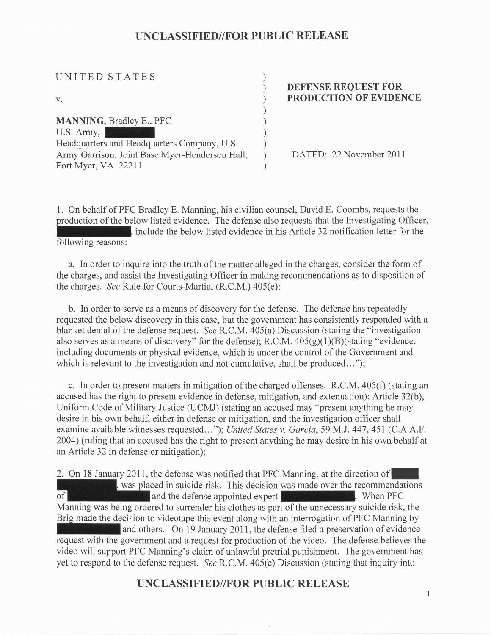| UNITED STATES                                                                                 |  |
|-----------------------------------------------------------------------------------------------|--|
|                                                                                               |  |
| V.                                                                                            |  |
|                                                                                               |  |
| <b>MANNING</b> , Bradley E., PFC                                                              |  |
| U.S. Army,                                                                                    |  |
| Headquarters and Headquarters Company, U.S.<br>Army Garrison, Joint Base Myer-Henderson Hall, |  |
| Fort Myer, VA 22211                                                                           |  |
|                                                                                               |  |

#### DEFENSE REQUEST FOR PRODUCTION OF EVIDENCE

DATED: 22 November 2011

 $\mathbf{1}$ 

1. On behalf of PFC Bradley E. Manning, his civilian counsel, David E. Coombs, requests the production of the below listed evidence. The defense also requests that the Investigating Officer, following reasons: nts. include the below listed evidence in his Article 32 notification letter for the

a. In order to inquire into the truth of the matter alleged in the charges, consider the form of the charges, and assist the Investigating Officer in making recommendations as to disposition of the charges. See Rule for Courts-Martial  $(R.C.M.)$  405 $(e)$ ;

b. In order to serve as a means of discovery for the defense. The defense has repeatedly requested the below discovery in this case, but the government has consistently responded with a blanket denial of the defense request. See R.C.M. 405(a) Discussion (stating the "investigation also serves as a means of discovery" for the defense); R.C.M.  $405(g)(1)(B)($ stating "evidence, including documents or physical evidence, which is under the control of the Govemment and which is relevant to the investigation and not cumulative, shall be produced...");

c. In order to present matters in mitigation of the charged offenses. R.C.M. 405(f) (stating an accused has the right to present evidence in defense, mitigation, and extenuation); Article 32(b), Uniform Code of Military Justice (UCMJ) (stating an accused may "present anything he may desire in his own behalf, either in defense or mitigation, and the investigation officer shall examine available witnesses requested..."); United States v. Garcia, 59 M.J. 447, 451 (C.A.A.F. 2004) (ruling that an accused has the right to present anything he may desire in his own behalf at an Article 32 in defense or mitigation);

2. On 18 January 2011, the defense was notified that PFC Manning, at the direction of , was placed in suicide risk. This decision was made over the recommendations and the defense appointed expert of all the defense appointed expert . When PFC is a set of the PFC is a set of the PFC is a set of the PFC is a set of the PFC is a set of the PFC is a set of the PFC is a set of the PFC is a set of the PFC is a set of the Manning was being ordered to surrender his clothes as part of the unnecessary suicide risk, the Brig made the decision to videotape this event along with an interrogation of PFC Manning by and others. On 19 January 2011, the defense filed a preservation of evidence request with the government and a request for production of the video. The defense believes the video will support PFC Manning's claim of unlawful pretrial punishment. The government has yet to respond to the defense request. *See* R.C.M. 405(e) Discussion (stating that inquiry into

### UNCLASSIFIED//FOR PUBLIC RELEASE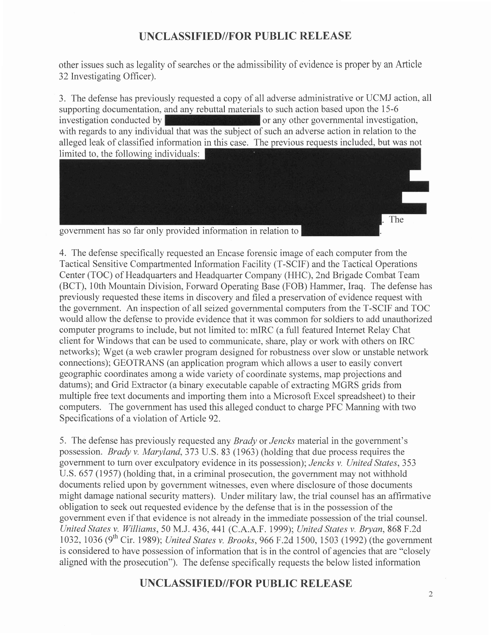other issues such as legality of searches or the admissibility of evidence is proper by an Article 32 Investigating Officer).

3. The defense has previously requested a copy of all adverse administrative or UCMJ action, all supporting documentation, and any rebuttal materials to such action based upon the 15-6 investigation conducted by  $\frac{1}{2}$  or any other governmental investigation, investigation conducted by  $\sim$  or any other governmental investigation with regards to any individual that was the subject of such an adverse action in relation to the alleged leak of classified information in this case. The previous requests included, but was not limited to, the following individuals:

government has so far only provided information in relation to

4. The defense specifically requested an Encase forensic image of each computer from the Tactical Sensitive Compartmented Information Facility (T-SCIF) and the Tactical Operations Center (TOC) of Headquarters and Headquarter Company (HHC), 2nd Brigade Combat Team (BCT), 1Oth Mountain Division, Forward Operating Base (FOB) Hammer, Iraq. The defense has previously requested these items in discovery and filed a preservation of evidence request with the government. An inspection of all seized governmental computers from the T-SCIF and TOC would allow the defense to provide evidence that it was common for soldiers to add unauthorized computer programs to include, but not limited to: mIRC (a full featured Internet Relay Chat client for Windows that can be used to communicate, share, play or work with others on IRC networks); Wget (a web crawler program designed for robustness over slow or unstable network connections); GEOTRANS (an application program which allows a user to easily convert geographic coordinates among a wide variety of coordinate systems, map projections and datums); and Grid Extractor (a binary executable capable of extracting MGRS grids from multiple free text documents and importing them into a Microsoft Excel spreadsheet) to their computers. The govemment has used this alleged conduct to charge PFC Manning with two Specifications of a violation of Article 92.

5. The defense has previously requested any *Brady* or *Jencks* material in the government's possession. Brady v. Maryland,373 U.S. 83 (1963) (holding that due process requires the govemment to turn over exculpatory evidence in its possession); Jencks v. United States,353 U.S. 657 (1957) (holding that, in a criminal prosecution, the government may not withhold documents relied upon by government witnesses, even where disclosure of those documents might damage national security matters). Under military law, the trial counsel has an affirmative obligation to seek out requested evidence by the defense that is in the possession of the government even if that evidence is not already in the immediate possession of the trial counsel. United States v. Williams, 50 M.J. 436, 441 (C.A.A.F. 1999); United States v. Bryan, 868 F.2d 1032, 1036 (9<sup>th</sup> Cir. 1989); United States v. Brooks, 966 F.2d 1500, 1503 (1992) (the government is considered to have possession of information that is in the control of agencies that are "closely aligned with the prosecution"). The defense specifically requests the below listed information

## UNCLASSIFIED//FOR PUBLIC RELEASE

The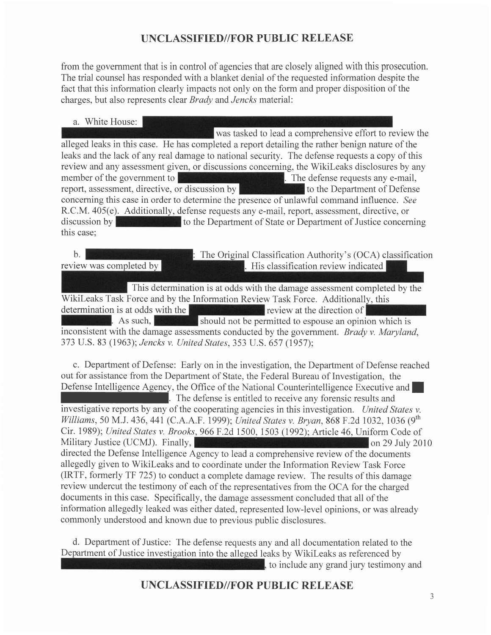from the government that is in control of agencies that are closely aligned with this prosecution. The trial counsel has responded with a blanket denial of the requested information despite the fact that this information clearly impacts not only on the form and proper disposition of the charges, but also represents clear *Brady* and *Jencks* material:

a. White House:

was tasked to lead a comprehensive effort to review the alleged leaks in this case. He has completed a report detailing the rather benign nature of the leaks and the lack of any real damage to national security. The defense requests a copy of this review and any assessment given, or discussions concerning, the Wikileaks disclosures by any member of the government to **The defense requests any e-mail**, report, assessment, directive, or discussion by the set of the Department of Defense concerning this case in order to determine the presence of unlawful command influence. See R.C.M. 405(e). Additionally, defense requests any e-mail, report, assessment, directive, or discussion bv this case: to the Department of State or Department of Justice concerning

 $\mathbf{b}$ . : The Original Classification Authority's (OCA) classification review was completed by **His classification review indicated** 

This determination is at odds with the damage assessment completed by the determination is at odds with the  $\mathbb{R}$  review at the direction of . As such, should not be permitted to espouse an opinion which is inconsistent with the damage assessments conducted by the government. *Brady v. Maryland*, 373 U.S. 83 (1963); Jencks v. United States, 353 U.S. 657 (1957); Wikileaks Task Force and by the Information Review Task Force. Additionally, this

c. Department of Defense: Early on in the investigation, the Department of Defense reached out for assistance from the Department of State, the Federal Bureau of Investigation, the Defense Intelligence Agency, the Office of the National Counterintelligence Executive and documents in this case. Specifically, the damage assessment concluded that all of the The defense is entitled to receive any forensic results and investigative reports by any of the cooperating agencies in this investigation. United States v. Williams, 50 M.J. 436, 441 (C.A.A.F. 1999); United States v. Bryan, 868 F.2d 1032, 1036 (9<sup>th</sup> Cir. 1989); United States v. Brooks,966F.2d 1500, 1503 (1992); Article 46, Uniform Code of Military Justice (UCMJ). Finally,  $\frac{1}{2}$  Finally,  $\frac{1}{2}$  Finally,  $\frac{1}{2}$  on 29 July 2010 directed the Defense Intelligence Agency to lead a comprehensive review of the documents allegedly given to Wikileaks and to coordinate under the Information Review Task Force (IRTF, formerly TF 725) to conduct a complete damage review. The results of this damage review undercut the testimony of each of the representatives from the OCA for the charged information allegedly leaked was either dated, represented low-level opinions, or was already commonly understood and known due to previous public disclosures.

d. Department of Justice: The defense requests any and all documentation related to the Department of Justice investigation into the alleged leaks by WikiLeaks as referenced by , to include any grand jury testimony and

UNCLASSIFIED//FOR PUBLIC RELEASE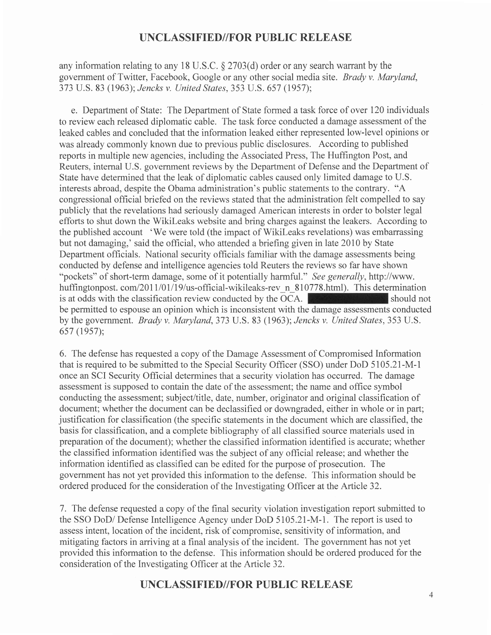any information relating to any 18 U.S.C. \$ 2703(d) order or any search warrant by the government of Twitter, Facebook, Google or any other social media site. Brady v. Maryland, 373 U.S. 83 (1963); Jencks v. United States, 353 U.S. 657 (1957);

e. Department of State: The Department of State formed a task force of over 120 individuals to review each released diplomatic cable. The task force conducted a damage assessment of the leaked cables and concluded that the information leaked either represented low-level opinions or was already commonly known due to previous public disclosures. According to published reports in multiple new agencies, including the Associated Press, The Huffington Post, and Reuters, internal U.S. govemment reviews by the Department of Defense and the Department of State have determined that the leak of diplomatic cables caused only limited damage to U.S. interests abroad, despite the Obama administration's public statements to the contrary. "A congressional official briefed on the reviews stated that the administration felt compelled to say publicly that the revelations had seriously damaged American interests in order to bolster legal efforts to shut down the Wikileaks website and bring charges against the leakers. According to the published account 'We were told (the impact of Wikileaks revelations) was embarrassing but not damaging,' said the official, who attended a briefing given in late 2010 by State Department officials. National security officials familiar with the damage assessments being conducted by defense and intelligence agencies told Reuters the reviews so far have shown "pockets" of short-term damage, some of it potentially harmful." See generally, http://www. huffingtonpost. com/2011/01/19/us-official-wikileaks-rev n\_810778.html). This determination is at odds with the classification review conducted by the OCA. Should not should not be permitted to espouse an opinion which is inconsistent with the damage assessments conducted by the government. Brady v. Maryland, 373 U.S. 83 (1963); Jencks v. United States, 353 U.S. 657 (1957);

6. The defense has requested a copy of the Damage Assessment of Compromised Information that is required to be submitted to the Special Security Officer (SSO) under DoD 5105.2I-M-l once an SCI Security Official determines that a security violation has occurred. The damage assessment is supposed to contain the date of the assessment; the name and office symbol conducting the assessment; subject/title, date, number, originator and original classification of document; whether the document can be declassified or downgraded, either in whole or in part; justification for classification (the specific statements in the document which are classified, the basis for classification, and a complete bibliography of all classified source materials used in preparation of the document); whether the classified information identified is accurate; whether the classified information identified was the subject of any official release; and whether the information identified as classified can be edited for the purpose of prosecution. The government has not yet provided this information to the defense. This information should be ordered produced for the consideration of the Investigating Officer at the Article 32.

7. The defense requested a copy of the final security violation investigation report submitted to the SSO DoD/ Defense Intelligence Agency under DoD 5105.21-M-1. The report is used to assess intent, location of the incident, risk of compromise, sensitivity of information, and mitigating factors in arriving at a final analysis of the incident. The government has not yet provided this information to the defense. This information should be ordered produced for the consideration of the Investigating Officer at the Article 32.

#### UNCLASSIFIED//FOR PUBLIC RELEASE